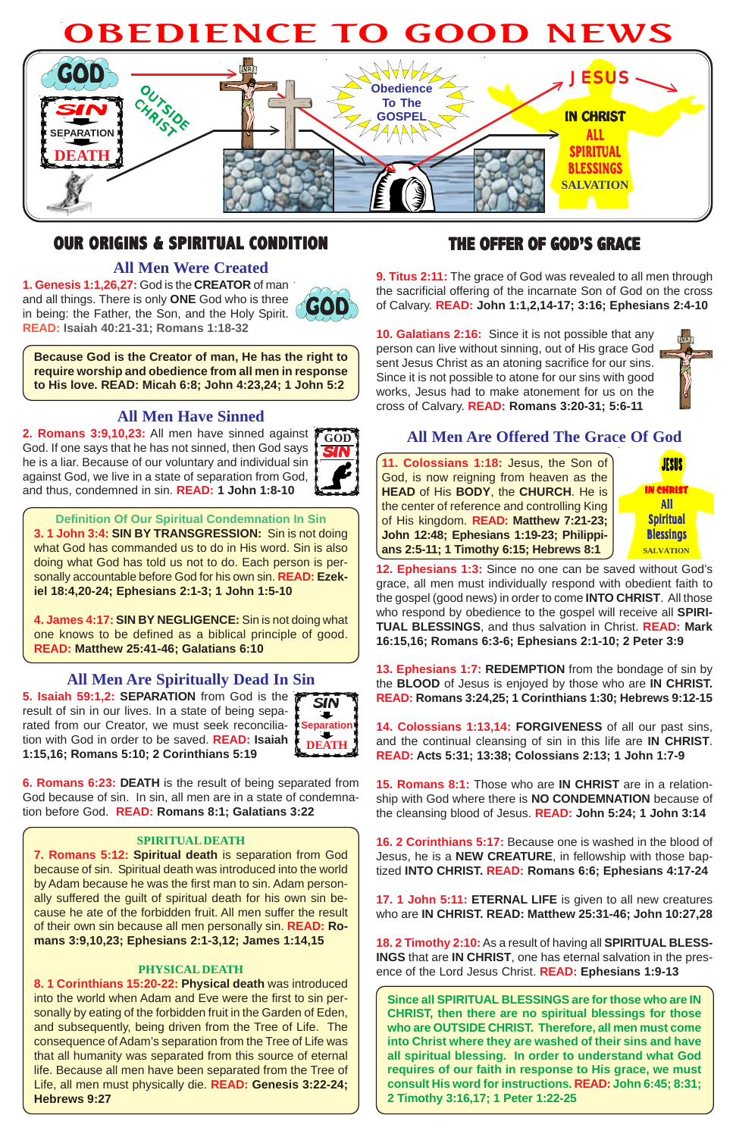# OBEDIENCE TO GOOD NEWS



# **OUR ORIGINS & SPIRITUAL CONDITION**

### **All Men Were Created**

**1. Genesis 1:1,26,27:** God is the **CREATOR** of man and all things. There is only **ONE** God who is three in being: the Father, the Son, and the Holy Spirit. **READ: Isaiah 40:21-31; Romans 1:18-32**



**Because God is the Creator of man, He has the right to require worship and obedience from all men in response to His love. READ: Micah 6:8; John 4:23,24; 1 John 5:2**

### **All Men Have Sinned**

**2. Romans 3:9,10,23:** All men have sinned against God. If one says that he has not sinned, then God says he is a liar. Because of our voluntary and individual sin against God, we live in a state of separation from God, and thus, condemned in sin. **READ: 1 John 1:8-10**



**Definition Of Our Spiritual Condemnation In Sin 3. 1 John 3:4: SIN BY TRANSGRESSION:** Sin is not doing what God has commanded us to do in His word. Sin is also doing what God has told us not to do. Each person is personally accountable before God for his own sin. **READ: Ezek-**

**iel 18:4,20-24; Ephesians 2:1-3; 1 John 1:5-10**

**4. James 4:17: SIN BY NEGLIGENCE:** Sin is not doing what one knows to be defined as a biblical principle of good. **READ: Matthew 25:41-46; Galatians 6:10**

### **All Men Are Spiritually Dead In Sin**

**5. Isaiah 59:1,2: SEPARATION** from God is the result of sin in our lives. In a state of being separated from our Creator, we must seek reconciliation with God in order to be saved. **READ: Isaiah 1:15,16; Romans 5:10; 2 Corinthians 5:19**



**6. Romans 6:23: DEATH** is the result of being separated from God because of sin. In sin, all men are in a state of condemnation before God. **READ: Romans 8:1; Galatians 3:22**

#### **SPIRITUAL DEATH**

**7. Romans 5:12: Spiritual death** is separation from God because of sin. Spiritual death was introduced into the world by Adam because he was the first man to sin. Adam personally suffered the guilt of spiritual death for his own sin because he ate of the forbidden fruit. All men suffer the result of their own sin because all men personally sin. **READ: Romans 3:9,10,23; Ephesians 2:1-3,12; James 1:14,15**

### **PHYSICAL DEATH**

**8. 1 Corinthians 15:20-22: Physical death** was introduced into the world when Adam and Eve were the first to sin personally by eating of the forbidden fruit in the Garden of Eden, and subsequently, being driven from the Tree of Life. The consequence of Adam's separation from the Tree of Life was that all humanity was separated from this source of eternal life. Because all men have been separated from the Tree of Life, all men must physically die. **READ: Genesis 3:22-24; Hebrews 9:27**

# **THE OFFER OF GOD'S GRACE**

**9. Titus 2:11:** The grace of God was revealed to all men through the sacrificial offering of the incarnate Son of God on the cross of Calvary. **READ: John 1:1,2,14-17; 3:16; Ephesians 2:4-10**

**10. Galatians 2:16:** Since it is not possible that any person can live without sinning, out of His grace God sent Jesus Christ as an atoning sacrifice for our sins. Since it is not possible to atone for our sins with good works, Jesus had to make atonement for us on the cross of Calvary. **READ: Romans 3:20-31; 5:6-11**



# **All Men Are Offered The Grace Of God**

| 11. Colossians 1:18: Jesus, the Son of<br>God, is now reigning from heaven as the                                             | JESUS                                                    |
|-------------------------------------------------------------------------------------------------------------------------------|----------------------------------------------------------|
| HEAD of His BODY, the CHURCH. He is<br>the center of reference and controlling King                                           | <b>IN CHRIST</b><br>All                                  |
| of His kingdom. READ: Matthew 7:21-23;<br>John 12:48; Ephesians 1:19-23; Philippi-<br>ans 2:5-11; 1 Timothy 6:15; Hebrews 8:1 | <b>Spiritual</b><br><b>Blessinas</b><br><b>SALVATION</b> |



**12. Ephesians 1:3:** Since no one can be saved without God's grace, all men must individually respond with obedient faith to the gospel (good news) in order to come **INTO CHRIST**. All those who respond by obedience to the gospel will receive all **SPIRI-TUAL BLESSINGS**, and thus salvation in Christ. **READ: Mark 16:15,16; Romans 6:3-6; Ephesians 2:1-10; 2 Peter 3:9**

**13. Ephesians 1:7: REDEMPTION** from the bondage of sin by the **BLOOD** of Jesus is enjoyed by those who are **IN CHRIST. READ: Romans 3:24,25; 1 Corinthians 1:30; Hebrews 9:12-15**

**14. Colossians 1:13,14: FORGIVENESS** of all our past sins, and the continual cleansing of sin in this life are **IN CHRIST**. **READ: Acts 5:31; 13:38; Colossians 2:13; 1 John 1:7-9**

**15. Romans 8:1:** Those who are **IN CHRIST** are in a relationship with God where there is **NO CONDEMNATION** because of the cleansing blood of Jesus. **READ: John 5:24; 1 John 3:14**

**16. 2 Corinthians 5:17:** Because one is washed in the blood of Jesus, he is a **NEW CREATURE**, in fellowship with those baptized **INTO CHRIST. READ: Romans 6:6; Ephesians 4:17-24**

**17. 1 John 5:11: ETERNAL LIFE** is given to all new creatures who are **IN CHRIST. READ: Matthew 25:31-46; John 10:27,28**

**18. 2 Timothy 2:10:** As a result of having all **SPIRITUAL BLESS-INGS** that are **IN CHRIST**, one has eternal salvation in the presence of the Lord Jesus Christ. **READ: Ephesians 1:9-13**

**Since all SPIRITUAL BLESSINGS are for those who are IN CHRIST, then there are no spiritual blessings for those who are OUTSIDE CHRIST. Therefore, all men must come into Christ where they are washed of their sins and have all spiritual blessing. In order to understand what God requires of our faith in response to His grace, we must consult His word for instructions. READ: John 6:45; 8:31; 2 Timothy 3:16,17; 1 Peter 1:22-25**